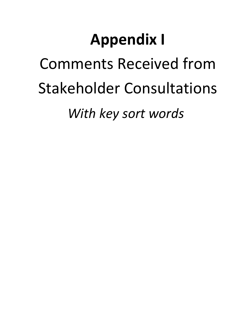## **Appendix I** Comments Received from Stakeholder Consultations *With key sort words*